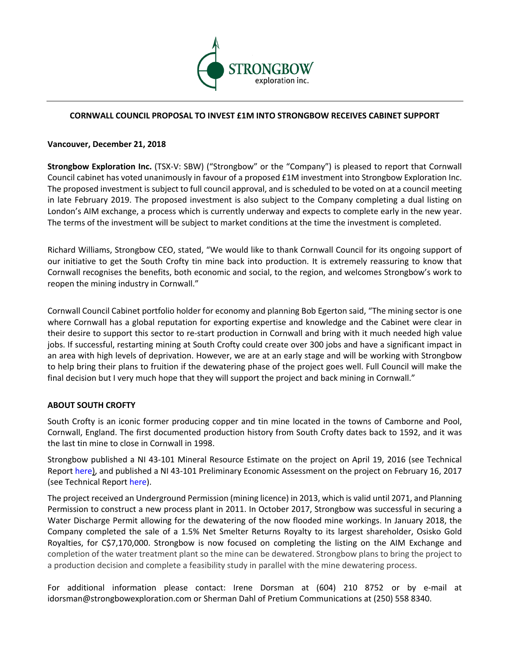

## **CORNWALL COUNCIL PROPOSAL TO INVEST £1M INTO STRONGBOW RECEIVES CABINET SUPPORT**

## **Vancouver, December 21, 2018**

**Strongbow Exploration Inc.** (TSX-V: SBW) ("Strongbow" or the "Company") is pleased to report that Cornwall Council cabinet has voted unanimously in favour of a proposed £1M investment into Strongbow Exploration Inc. The proposed investment is subject to full council approval, and is scheduled to be voted on at a council meeting in late February 2019. The proposed investment is also subject to the Company completing a dual listing on London's AIM exchange, a process which is currently underway and expects to complete early in the new year. The terms of the investment will be subject to market conditions at the time the investment is completed.

Richard Williams, Strongbow CEO, stated, "We would like to thank Cornwall Council for its ongoing support of our initiative to get the South Crofty tin mine back into production. It is extremely reassuring to know that Cornwall recognises the benefits, both economic and social, to the region, and welcomes Strongbow's work to reopen the mining industry in Cornwall."

Cornwall Council Cabinet portfolio holder for economy and planning Bob Egerton said, "The mining sector is one where Cornwall has a global reputation for exporting expertise and knowledge and the Cabinet were clear in their desire to support this sector to re-start production in Cornwall and bring with it much needed high value jobs. If successful, restarting mining at South Crofty could create over 300 jobs and have a significant impact in an area with high levels of deprivation. However, we are at an early stage and will be working with Strongbow to help bring their plans to fruition if the dewatering phase of the project goes well. Full Council will make the final decision but I very much hope that they will support the project and back mining in Cornwall."

## **ABOUT SOUTH CROFTY**

South Crofty is an iconic former producing copper and tin mine located in the towns of Camborne and Pool, Cornwall, England. The first documented production history from South Crofty dates back to 1592, and it was the last tin mine to close in Cornwall in 1998.

Strongbow published a NI 43-101 Mineral Resource Estimate on the project on April 19, 2016 (see Technical Report here), and published a NI 43-101 Preliminary Economic Assessment on the project on February 16, 2017 (see Technical Report here).

The project received an Underground Permission (mining licence) in 2013, which is valid until 2071, and Planning Permission to construct a new process plant in 2011. In October 2017, Strongbow was successful in securing a Water Discharge Permit allowing for the dewatering of the now flooded mine workings. In January 2018, the Company completed the sale of a 1.5% Net Smelter Returns Royalty to its largest shareholder, Osisko Gold Royalties, for C\$7,170,000. Strongbow is now focused on completing the listing on the AIM Exchange and completion of the water treatment plant so the mine can be dewatered. Strongbow plans to bring the project to a production decision and complete a feasibility study in parallel with the mine dewatering process.

For additional information please contact: Irene Dorsman at (604) 210 8752 or by e-mail at idorsman@strongbowexploration.com or Sherman Dahl of Pretium Communications at (250) 558 8340.